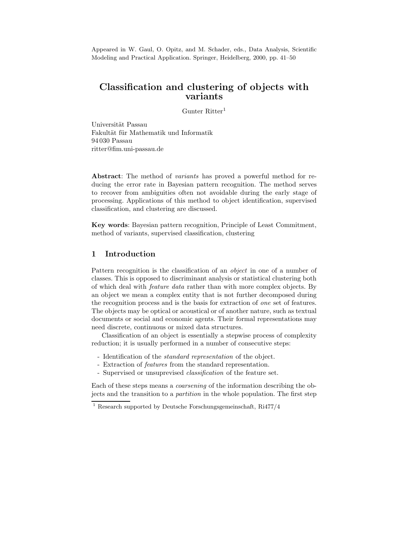Appeared in W. Gaul, O. Opitz, and M. Schader, eds., Data Analysis, Scientific Modeling and Practical Application. Springer, Heidelberg, 2000, pp. 41–50

# Classification and clustering of objects with variants

Gunter Ritter<sup>1</sup>

Universität Passau Fakultät für Mathematik und Informatik 94 030 Passau ritter@fim.uni-passau.de

Abstract: The method of variants has proved a powerful method for reducing the error rate in Bayesian pattern recognition. The method serves to recover from ambiguities often not avoidable during the early stage of processing. Applications of this method to object identification, supervised classification, and clustering are discussed.

Key words: Bayesian pattern recognition, Principle of Least Commitment, method of variants, supervised classification, clustering

# 1 Introduction

Pattern recognition is the classification of an *object* in one of a number of classes. This is opposed to discriminant analysis or statistical clustering both of which deal with feature data rather than with more complex objects. By an object we mean a complex entity that is not further decomposed during the recognition process and is the basis for extraction of one set of features. The objects may be optical or acoustical or of another nature, such as textual documents or social and economic agents. Their formal representations may need discrete, continuous or mixed data structures.

Classification of an object is essentially a stepwise process of complexity reduction; it is usually performed in a number of consecutive steps:

- Identification of the *standard representation* of the object.
- Extraction of features from the standard representation.
- Supervised or unsuprevised classification of the feature set.

Each of these steps means a coarsening of the information describing the objects and the transition to a partition in the whole population. The first step

<sup>1</sup> Research supported by Deutsche Forschungsgemeinschaft, Ri477/4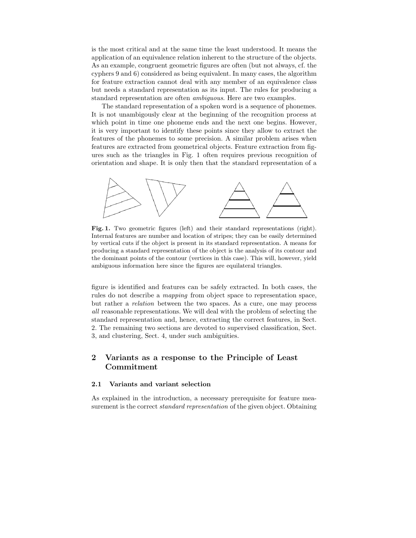is the most critical and at the same time the least understood. It means the application of an equivalence relation inherent to the structure of the objects. As an example, congruent geometric figures are often (but not always, cf. the cyphers 9 and 6) considered as being equivalent. In many cases, the algorithm for feature extraction cannot deal with any member of an equivalence class but needs a standard representation as its input. The rules for producing a standard representation are often ambiguous. Here are two examples.

The standard representation of a spoken word is a sequence of phonemes. It is not unambigously clear at the beginning of the recognition process at which point in time one phoneme ends and the next one begins. However, it is very important to identify these points since they allow to extract the features of the phonemes to some precision. A similar problem arises when features are extracted from geometrical objects. Feature extraction from figures such as the triangles in Fig. 1 often requires previous recognition of orientation and shape. It is only then that the standard representation of a



Fig. 1. Two geometric figures (left) and their standard representations (right). Internal features are number and location of stripes; they can be easily determined by vertical cuts if the object is present in its standard representation. A means for producing a standard representation of the object is the analysis of its contour and the dominant points of the contour (vertices in this case). This will, however, yield ambiguous information here since the figures are equilateral triangles.

figure is identified and features can be safely extracted. In both cases, the rules do not describe a mapping from object space to representation space, but rather a relation between the two spaces. As a cure, one may process all reasonable representations. We will deal with the problem of selecting the standard representation and, hence, extracting the correct features, in Sect. 2. The remaining two sections are devoted to supervised classification, Sect. 3, and clustering, Sect. 4, under such ambiguities.

# 2 Variants as a response to the Principle of Least Commitment

### 2.1 Variants and variant selection

As explained in the introduction, a necessary prerequisite for feature measurement is the correct *standard representation* of the given object. Obtaining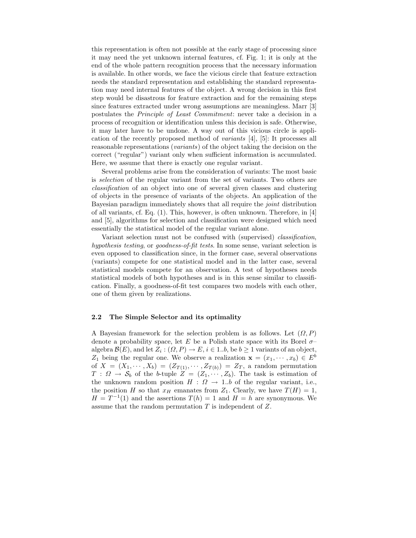this representation is often not possible at the early stage of processing since it may need the yet unknown internal features, cf. Fig. 1; it is only at the end of the whole pattern recognition process that the necessary information is available. In other words, we face the vicious circle that feature extraction needs the standard representation and establishing the standard representation may need internal features of the object. A wrong decision in this first step would be disastrous for feature extraction and for the remaining steps since features extracted under wrong assumptions are meaningless. Marr [3] postulates the Principle of Least Commitment: never take a decision in a process of recognition or identification unless this decision is safe. Otherwise, it may later have to be undone. A way out of this vicious circle is application of the recently proposed method of variants [4], [5]: It processes all reasonable representations (variants) of the object taking the decision on the correct ("regular") variant only when sufficient information is accumulated. Here, we assume that there is exactly one regular variant.

Several problems arise from the consideration of variants: The most basic is selection of the regular variant from the set of variants. Two others are classification of an object into one of several given classes and clustering of objects in the presence of variants of the objects. An application of the Bayesian paradigm immediately shows that all require the joint distribution of all variants, cf. Eq. (1). This, however, is often unknown. Therefore, in [4] and [5], algorithms for selection and classification were designed which need essentially the statistical model of the regular variant alone.

Variant selection must not be confused with (supervised) classification, hypothesis testing, or goodness-of-fit tests. In some sense, variant selection is even opposed to classification since, in the former case, several observations (variants) compete for one statistical model and in the latter case, several statistical models compete for an observation. A test of hypotheses needs statistical models of both hypotheses and is in this sense similar to classification. Finally, a goodness-of-fit test compares two models with each other, one of them given by realizations.

#### 2.2 The Simple Selector and its optimality

A Bayesian framework for the selection problem is as follows. Let  $(\Omega, P)$ denote a probability space, let E be a Polish state space with its Borel  $\sigma$ algebra  $\mathcal{B}(E)$ , and let  $Z_i : (\Omega, P) \to E$ ,  $i \in 1..b$ , be  $b \ge 1$  variants of an object,  $Z_1$  being the regular one. We observe a realization  $\mathbf{x} = (x_1, \dots, x_b) \in E^b$ of  $X = (X_1, \dots, X_b) = (Z_{T(1)}, \dots, Z_{T(b)}) = Z_T$ , a random permutation  $T: \Omega \to \mathcal{S}_b$  of the b-tuple  $Z = (Z_1, \dots, Z_b)$ . The task is estimation of the unknown random position  $H : \Omega \rightarrow 1.b$  of the regular variant, i.e., the position H so that  $x_H$  emanates from  $Z_1$ . Clearly, we have  $T(H) = 1$ ,  $H = T^{-1}(1)$  and the assertions  $T(h) = 1$  and  $H = h$  are synonymous. We assume that the random permutation  $T$  is independent of  $Z$ .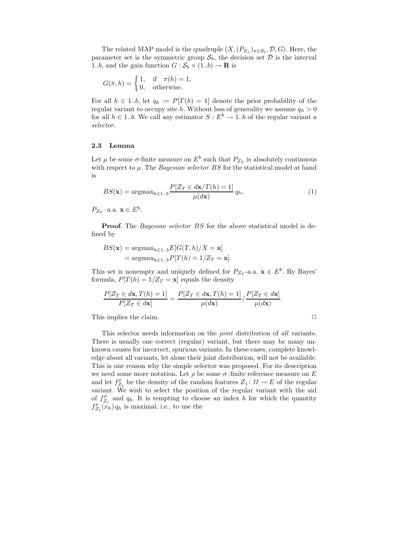The related MAP model is the quadruple  $(X, (P_{Z_{\pi}})_{\pi \in S_b}, \mathcal{D}, G)$ . Here, the parameter set is the symmetric group  $S_b$ , the decision set  $D$  is the interval 1..b, and the gain function  $G : \mathcal{S}_b \times (1,b) \to \mathbf{R}$  is

$$
G(\pi, h) = \begin{cases} 1, & \text{if } \pi(h) = 1, \\ 0, & \text{otherwise.} \end{cases}
$$

For all  $h \in 1..b$ , let  $q_h := P[T(h) = 1]$  denote the prior probability of the regular variant to occupy site h. Without loss of generality we assume  $q_h > 0$ for all  $h \in 1..b$ . We call any estimator  $S : E^b \to 1..b$  of the regular variant a selector.

#### 2.3 Lemma

Let  $\mu$  be some  $\sigma$ -finite measure on  $E^b$  such that  $P_{Z_T}$  is absolutely continuous with respect to  $\mu$ . The *Bayesian selector BS* for the statistical model at hand is

$$
BS(\mathbf{x}) = \operatorname{argmax}_{h \in 1..b} \frac{P[Z_T \in d\mathbf{x}/T(h) = 1]}{\mu(d\mathbf{x})} q_h,
$$
\n(1)

 $P_{Z_T}$ -a.a.  $\mathbf{x} \in E^b$ .

**Proof.** The *Bayesian selector BS* for the above statistical model is defined by

$$
BS(\mathbf{x}) = \operatorname{argmax}_{h \in 1..b} E[G(T, h)/X = \mathbf{x}]
$$
  
= 
$$
\operatorname{argmax}_{h \in 1..b} P[T(h) = 1/Z_T = \mathbf{x}].
$$

This set is nonempty and uniquely defined for  $P_{Z_T}$ -a.a.  $\mathbf{x} \in E^b$ . By Bayes' formula,  $P[T(h) = 1/Z_T = \mathbf{x}]$  equals the density

$$
\frac{P[Z_T \in d\mathbf{x}, T(h) = 1]}{P[Z_T \in d\mathbf{x}]} = \frac{P[Z_T \in d\mathbf{x}, T(h) = 1]}{\mu(d\mathbf{x})} / \frac{P[Z_T \in d\mathbf{x}]}{\mu(d\mathbf{x})}.
$$

This implies the claim.  $\Box$ 

This selector needs information on the *joint* distribution of all variants. There is usually one correct (regular) variant, but there may be many unknown causes for incorrect, spurious variants. In these cases, complete knowledge about all variants, let alone their joint distribution, will not be available. This is one reason why the simple selector was proposed. For its description we need some more notation. Let  $\rho$  be some  $\sigma$ -finite reference measure on E and let  $f_{Z_1}^{\rho}$  be the density of the random features  $Z_1: \Omega \to E$  of the regular variant. We wish to select the position of the regular variant with the aid of  $f_{Z_1}^{\rho}$  and  $q_h$ . It is tempting to choose an index h for which the quantity  $f_{Z_1}^{\rho}(x_h) q_h$  is maximal, i.e., to use the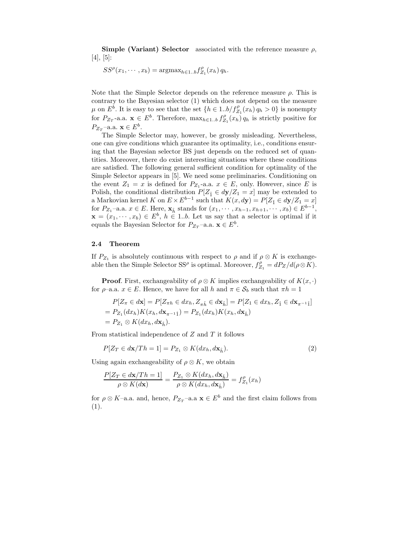Simple (Variant) Selector associated with the reference measure  $\rho$ ,  $[4], [5]:$ 

$$
SS^{\rho}(x_1, \cdots, x_b) = \operatorname{argmax}_{h \in 1..b} f_{Z_1}^{\rho}(x_h) q_h.
$$

Note that the Simple Selector depends on the reference measure  $\rho$ . This is contrary to the Bayesian selector (1) which does not depend on the measure  $\mu$  on  $E^{\check{b}}$ . It is easy to see that the set  $\{h \in 1..b/f_{Z_1}^{\rho}(x_h) q_h > 0\}$  is nonempty for  $P_{Z_T}$ -a.a.  $\mathbf{x} \in E^b$ . Therefore,  $\max_{h \in 1..b} f_{Z_1}^{\rho}(x_h) q_h$  is strictly positive for  $P_{Z_T}$ -a.a.  $\mathbf{x} \in E^b$ .

The Simple Selector may, however, be grossly misleading. Nevertheless, one can give conditions which guarantee its optimality, i.e., conditions ensuring that the Bayesian selector BS just depends on the reduced set of quantities. Moreover, there do exist interesting situations where these conditions are satisfied. The following general sufficient condition for optimality of the Simple Selector appears in [5]. We need some preliminaries. Conditioning on the event  $Z_1 = x$  is defined for  $P_{Z_1}$ -a.a.  $x \in E$ , only. However, since E is Polish, the conditional distribution  $P[Z_{\hat{1}} \in dy/Z_1 = x]$  may be extended to a Markovian kernel K on  $E \times E^{b-1}$  such that  $K(x, dy) = P[Z_1 \in dy/Z_1 = x]$ for  $P_{Z_1}$ -a.a.  $x \in E$ . Here,  $\mathbf{x}_{\hat{h}}$  stands for  $(x_1, \dots, x_{h-1}, x_{h+1}, \dots, x_b) \in E^{b-1}$ ,  $\mathbf{x} = (x_1, \dots, x_b) \in E^b$ ,  $h \in 1..b$ . Let us say that a selector is optimal if it equals the Bayesian Selector for  $P_{Z_T}$ -a.a.  $\mathbf{x} \in E^b$ .

#### 2.4 Theorem

If  $P_{Z_1}$  is absolutely continuous with respect to  $\rho$  and if  $\rho \otimes K$  is exchangeable then the Simple Selector SS<sup> $\rho$ </sup> is optimal. Moreover,  $f_{Z_1}^{\rho} = dP_Z/d(\rho \otimes K)$ .

**Proof.** First, exchangeability of  $\rho \otimes K$  implies exchangeability of  $K(x, \cdot)$ for  $\rho$ –a.a.  $x \in E$ . Hence, we have for all h and  $\pi \in \mathcal{S}_b$  such that  $\pi h = 1$ 

$$
P[Z_{\pi} \in d\mathbf{x}] = P[Z_{\pi h} \in dx_h, Z_{\pi \hat{h}} \in d\mathbf{x}_{\hat{h}}] = P[Z_1 \in dx_h, Z_{\hat{1}} \in d\mathbf{x}_{\pi^{-1}\hat{1}}]
$$
  
=  $P_{Z_1}(dx_h)K(x_h, d\mathbf{x}_{\pi^{-1}\hat{1}}) = P_{Z_1}(dx_h)K(x_h, d\mathbf{x}_{\hat{h}})$   
=  $P_{Z_1} \otimes K(dx_h, d\mathbf{x}_{\hat{h}}).$ 

From statistical independence of  $Z$  and  $T$  it follows

$$
P[Z_T \in d\mathbf{x}/Th = 1] = P_{Z_1} \otimes K(dx_h, d\mathbf{x}_{\hat{h}}).
$$
\n(2)

Using again exchangeability of  $\rho \otimes K$ , we obtain

$$
\frac{P[Z_T \in d\mathbf{x}/Th = 1]}{\rho \otimes K(d\mathbf{x})} = \frac{P_{Z_1} \otimes K(dx_h, d\mathbf{x}_{\hat{h}})}{\rho \otimes K(dx_h, d\mathbf{x}_{\hat{h}})} = f_{Z_1}^{\rho}(x_h)
$$

for  $\rho \otimes K$ –a.a. and, hence,  $P_{Z_T}$ –a.a  $\mathbf{x} \in E^b$  and the first claim follows from (1).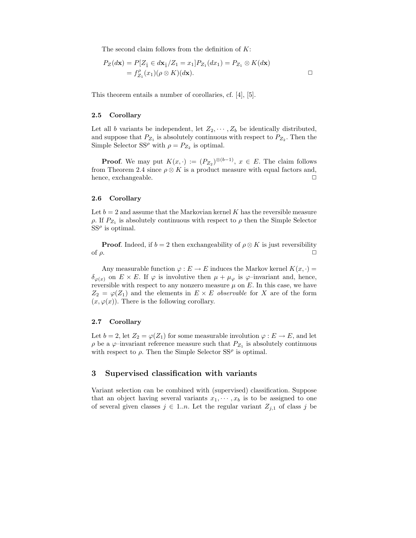The second claim follows from the definition of  $K$ :

$$
P_Z(d\mathbf{x}) = P[Z_1 \in d\mathbf{x}_1/Z_1 = x_1] P_{Z_1}(dx_1) = P_{Z_1} \otimes K(d\mathbf{x})
$$
  
=  $f'_{Z_1}(x_1)(\rho \otimes K)(d\mathbf{x}).$ 

This theorem entails a number of corollaries, cf. [4], [5].

#### 2.5 Corollary

Let all b variants be independent, let  $Z_2, \dots, Z_b$  be identically distributed, and suppose that  $P_{Z_1}$  is absolutely continuous with respect to  $P_{Z_2}$ . Then the Simple Selector SS<sup> $\rho$ </sup> with  $\rho = P_{Z_2}$  is optimal.

**Proof.** We may put  $K(x, \cdot) := (P_{Z_2})^{\otimes (b-1)}$ ,  $x \in E$ . The claim follows from Theorem 2.4 since  $\rho \otimes K$  is a product measure with equal factors and, hence, exchangeable.

#### 2.6 Corollary

Let  $b = 2$  and assume that the Markovian kernel K has the reversible measure  $\rho$ . If  $P_{Z_1}$  is absolutely continuous with respect to  $\rho$  then the Simple Selector  $SS^{\rho}$  is optimal.

**Proof.** Indeed, if  $b = 2$  then exchangeability of  $\rho \otimes K$  is just reversibility of  $\rho$ .

Any measurable function  $\varphi : E \to E$  induces the Markov kernel  $K(x, \cdot) =$  $\delta_{\varphi(x)}$  on  $E \times E$ . If  $\varphi$  is involutive then  $\mu + \mu_{\varphi}$  is  $\varphi$ -invariant and, hence, reversible with respect to any nonzero measure  $\mu$  on  $E$ . In this case, we have  $Z_2 = \varphi(Z_1)$  and the elements in  $E \times E$  observable for X are of the form  $(x, \varphi(x))$ . There is the following corollary.

#### 2.7 Corollary

Let  $b = 2$ , let  $Z_2 = \varphi(Z_1)$  for some measurable involution  $\varphi : E \to E$ , and let  $\rho$  be a  $\varphi$ -invariant reference measure such that  $P_{Z_1}$  is absolutely continuous with respect to  $\rho$ . Then the Simple Selector SS<sup> $\rho$ </sup> is optimal.

# 3 Supervised classification with variants

Variant selection can be combined with (supervised) classification. Suppose that an object having several variants  $x_1, \dots, x_b$  is to be assigned to one of several given classes  $j \in 1..n$ . Let the regular variant  $Z_{j,1}$  of class j be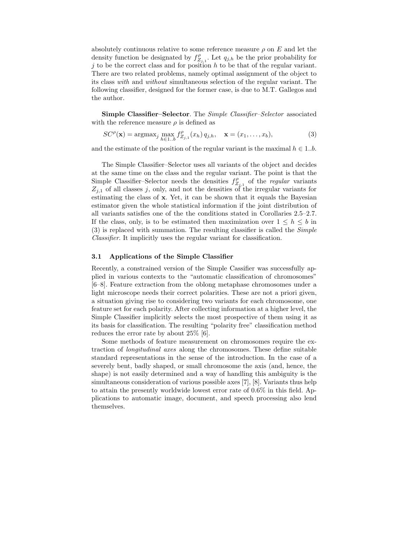absolutely continuous relative to some reference measure  $\rho$  on E and let the density function be designated by  $f_{Z_{j,1}}^{\rho}$ . Let  $q_{j,h}$  be the prior probability for j to be the correct class and for position  $h$  to be that of the regular variant. There are two related problems, namely optimal assignment of the object to its class with and without simultaneous selection of the regular variant. The following classifier, designed for the former case, is due to M.T. Gallegos and the author.

Simple Classifier–Selector. The Simple Classifier–Selector associated with the reference measure  $\rho$  is defined as

$$
SC^{\rho}(\mathbf{x}) = \operatorname{argmax}_{j} \max_{h \in 1..b} f_{Z_{j,1}}^{\rho}(x_h) q_{j,h}, \quad \mathbf{x} = (x_1, ..., x_b),
$$
 (3)

and the estimate of the position of the regular variant is the maximal  $h \in 1..b$ .

The Simple Classifier–Selector uses all variants of the object and decides at the same time on the class and the regular variant. The point is that the Simple Classifier–Selector needs the densities  $f_{Z_{j,1}}^{\rho}$  of the *regular* variants  $Z_{j,1}$  of all classes j, only, and not the densities of the irregular variants for estimating the class of x. Yet, it can be shown that it equals the Bayesian estimator given the whole statistical information if the joint distribution of all variants satisfies one of the the conditions stated in Corollaries 2.5–2.7. If the class, only, is to be estimated then maximization over  $1 \leq h \leq b$  in (3) is replaced with summation. The resulting classifier is called the Simple Classifier. It implicitly uses the regular variant for classification.

# 3.1 Applications of the Simple Classifier

Recently, a constrained version of the Simple Cassifier was successfully applied in various contexts to the "automatic classification of chromosomes" [6–8]. Feature extraction from the oblong metaphase chromosomes under a light microscope needs their correct polarities. These are not a priori given, a situation giving rise to considering two variants for each chromosome, one feature set for each polarity. After collecting information at a higher level, the Simple Classifier implicitly selects the most prospective of them using it as its basis for classification. The resulting "polarity free" classification method reduces the error rate by about 25% [6].

Some methods of feature measurement on chromosomes require the extraction of longitudinal axes along the chromosomes. These define suitable standard representations in the sense of the introduction. In the case of a severely bent, badly shaped, or small chromosome the axis (and, hence, the shape) is not easily determined and a way of handling this ambiguity is the simultaneous consideration of various possible axes [7], [8]. Variants thus help to attain the presently worldwide lowest error rate of 0.6% in this field. Applications to automatic image, document, and speech processing also lend themselves.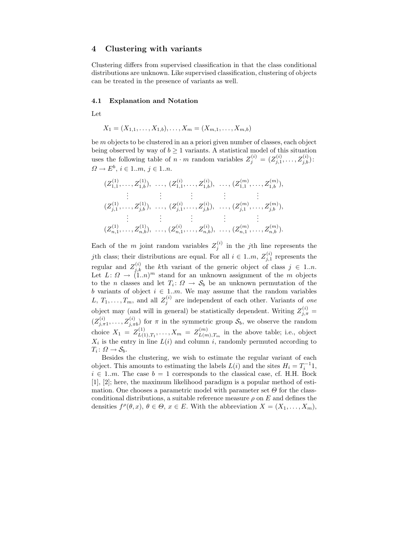# 4 Clustering with variants

Clustering differs from supervised classification in that the class conditional distributions are unknown. Like supervised classification, clustering of objects can be treated in the presence of variants as well.

#### 4.1 Explanation and Notation

Let

$$
X_1 = (X_{1,1}, \ldots, X_{1,b}), \ldots, X_m = (X_{m,1}, \ldots, X_{m,b})
$$

be m objects to be clustered in an a priori given number of classes, each object being observed by way of  $b \geq 1$  variants. A statistical model of this situation uses the following table of  $n \cdot m$  random variables  $Z_j^{(i)} = (Z_{j,1}^{(i)})$  $j^{(i)}_{j,1},\ldots,Z^{(i)}_{j,b})$  :  $\Omega \to E^b, i \in 1..m, j \in 1..n.$ 

$$
(Z_{1,1}^{(1)}, \ldots, Z_{1,b}^{(1)}), \ldots, (Z_{1,1}^{(i)}, \ldots, Z_{1,b}^{(i)}), \ldots, (Z_{1,1}^{(m)}, \ldots, Z_{1,b}^{(m)}),
$$
  
\n
$$
\vdots \qquad \vdots \qquad \vdots \qquad \vdots \qquad \vdots
$$
  
\n
$$
(Z_{j,1}^{(1)}, \ldots, Z_{j,b}^{(1)}), \ldots, (Z_{j,1}^{(i)}, \ldots, Z_{j,b}^{(i)}), \ldots, (Z_{j,1}^{(m)}, \ldots, Z_{j,b}^{(m)}),
$$
  
\n
$$
\vdots \qquad \vdots \qquad \vdots \qquad \vdots
$$
  
\n
$$
(Z_{n,1}^{(1)}, \ldots, Z_{n,b}^{(1)}), \ldots, (Z_{n,1}^{(i)}, \ldots, Z_{n,b}^{(i)}), \ldots, (Z_{n,1}^{(m)}, \ldots, Z_{n,b}^{(m)}).
$$

Each of the m joint random variables  $Z_j^{(i)}$  in the jth line represents the jth class; their distributions are equal. For all  $i \in 1..m$ ,  $Z_{j,1}^{(i)}$  represents the regular and  $Z_{j,k}^{(i)}$  the kth variant of the generic object of class  $j \in 1..n$ . Let  $L: \Omega \to (1,n)^m$  stand for an unknown assignment of the m objects to the *n* classes and let  $T_i: \Omega \to \mathcal{S}_b$  be an unknown permutation of the b variants of object  $i \in 1..m$ . We may assume that the random variables L,  $T_1, \ldots, T_m$ , and all  $Z_j^{(i)}$  are independent of each other. Variants of one object may (and will in general) be statistically dependent. Writing  $Z_{j,\pi}^{(i)}$  =  $(Z^{(i)}_{j,\pi 1}, \ldots, Z^{(i)}_{j,\pi}$  $j_{j,\pi b}^{(i)}$  for  $\pi$  in the symmetric group  $\mathcal{S}_b$ , we observe the random choice  $X_1 = Z_{L(1)}^{(1)}$  $L_{L(1),T_1}^{(1)},\ldots,X_m = Z_{L(m)}^{(m)}$  $L(m)$ ,  $T_m$  in the above table; i.e., object  $X_i$  is the entry in line  $L(i)$  and column i, randomly permuted according to  $T_i\colon\Omega\to\mathcal{S}_b.$ 

Besides the clustering, we wish to estimate the regular variant of each object. This amounts to estimating the labels  $L(i)$  and the sites  $H_i = T_i^{-1}1$ ,  $i \in 1..m$ . The case  $b = 1$  corresponds to the classical case, cf. H.H. Bock [1], [2]; here, the maximum likelihood paradigm is a popular method of estimation. One chooses a parametric model with parameter set  $\Theta$  for the classconditional distributions, a suitable reference measure  $\rho$  on E and defines the densities  $f^{\rho}(\theta, x), \ \theta \in \Theta$ ,  $x \in E$ . With the abbreviation  $X = (X_1, \ldots, X_m)$ ,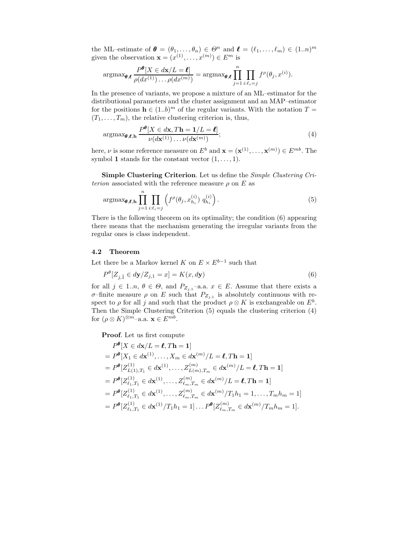the ML–estimate of  $\boldsymbol{\theta} = (\theta_1, \dots, \theta_n) \in \Theta^n$  and  $\boldsymbol{\ell} = (\ell_1, \dots, \ell_m) \in (1..n)^m$ given the observation  $\mathbf{x} = (x^{(1)}, \dots, x^{(m)}) \in E^m$  is

$$
\operatorname{argmax}_{\boldsymbol{\theta},\boldsymbol{\ell}} \frac{P^{\boldsymbol{\theta}}[X \in d\mathbf{x}/L = \boldsymbol{\ell}]}{\rho(dx^{(1)}) \dots \rho(dx^{(m)})} = \operatorname{argmax}_{\boldsymbol{\theta},\boldsymbol{\ell}} \prod_{j=1}^{n} \prod_{i:\ell_i=j} f^{\rho}(\theta_j, x^{(i)}).
$$

In the presence of variants, we propose a mixture of an ML–estimator for the distributional parameters and the cluster assignment and an MAP–estimator for the positions  $\mathbf{h} \in (1..b)^m$  of the regular variants. With the notation  $T =$  $(T_1, \ldots, T_m)$ , the relative clustering criterion is, thus,

$$
\operatorname{argmax}_{\boldsymbol{\theta}, \boldsymbol{\ell}, \mathbf{h}} \frac{P^{\boldsymbol{\theta}}[X \in d\mathbf{x}, T\mathbf{h} = 1/L = \boldsymbol{\ell}]}{\nu(d\mathbf{x}^{(1)}) \dots \nu(d\mathbf{x}^{(m)})};
$$
\n(4)

here,  $\nu$  is some reference measure on  $E^b$  and  $\mathbf{x} = (\mathbf{x}^{(1)}, \dots, \mathbf{x}^{(m)}) \in E^{mb}$ . The symbol 1 stands for the constant vector  $(1, \ldots, 1)$ .

Simple Clustering Criterion. Let us define the Simple Clustering Criterion associated with the reference measure  $\rho$  on E as

$$
\operatorname{argmax}_{\boldsymbol{\theta}, \boldsymbol{\ell}, \mathbf{h}} \prod_{j=1}^{n} \prod_{i:\ell_i=j} \left( f^{\rho}(\theta_j, x_{h_i}^{(i)}) q_{h_i}^{(i)} \right).
$$
 (5)

There is the following theorem on its optimality; the condition (6) appearing there means that the mechanism generating the irregular variants from the regular ones is class independent.

#### 4.2 Theorem

Let there be a Markov kernel K on  $E \times E^{b-1}$  such that

$$
P^{\theta}[Z_{j,\hat{1}} \in d\mathbf{y}/Z_{j,1} = x] = K(x, d\mathbf{y})\tag{6}
$$

for all  $j \in 1..n, \theta \in \Theta$ , and  $P_{Z_{j,1}}$ -a.a.  $x \in E$ . Assume that there exists a σ-finite measure  $ρ$  on E such that  $P_{Z_{j,1}}$  is absolutely continuous with respect to  $\rho$  for all j and such that the product  $\rho \otimes K$  is exchangeable on  $E^b$ . Then the Simple Clustering Criterion (5) equals the clustering criterion (4) for  $(\rho \otimes K)^{\otimes m}$ -a.a.  $\mathbf{x} \in E^{mb}$ .

Proof. Let us first compute

$$
P^{\theta}[X \in d\mathbf{x}/L = \ell, T\mathbf{h} = 1]
$$
  
=  $P^{\theta}[X_1 \in d\mathbf{x}^{(1)}, ..., X_m \in d\mathbf{x}^{(m)}/L = \ell, T\mathbf{h} = 1]$   
=  $P^{\theta}[Z_{L(1),T_1}^{(1)} \in d\mathbf{x}^{(1)}, ..., Z_{L(m),T_m}^{(m)} \in d\mathbf{x}^{(m)}/L = \ell, T\mathbf{h} = 1]$   
=  $P^{\theta}[Z_{\ell_1,T_1}^{(1)} \in d\mathbf{x}^{(1)}, ..., Z_{\ell_m,T_m}^{(m)} \in d\mathbf{x}^{(m)}/L = \ell, T\mathbf{h} = 1]$   
=  $P^{\theta}[Z_{\ell_1,T_1}^{(1)} \in d\mathbf{x}^{(1)}, ..., Z_{\ell_m,T_m}^{(m)} \in d\mathbf{x}^{(m)}/T_1h_1 = 1, ..., T_mh_m = 1]$   
=  $P^{\theta}[Z_{\ell_1,T_1}^{(1)} \in d\mathbf{x}^{(1)}/T_1h_1 = 1]... P^{\theta}[Z_{\ell_m,T_m}^{(m)} \in d\mathbf{x}^{(m)}/T_mh_m = 1].$